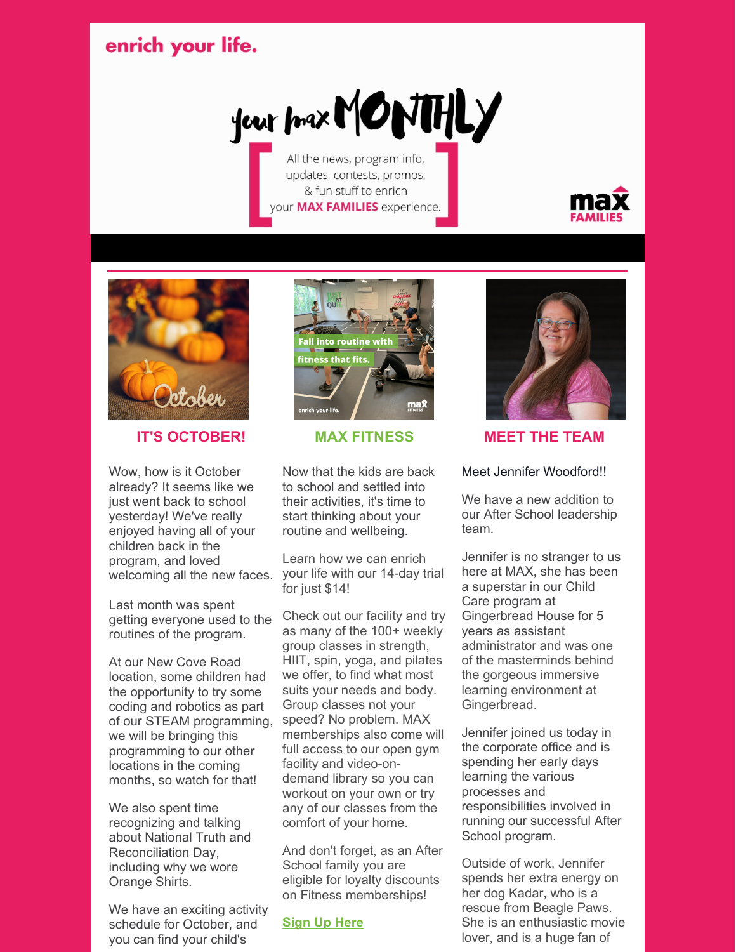# enrich your life.

your prax MONTHLY

All the news, program info, updates, contests, promos, & fun stuff to enrich your MAX FAMILIES experience.





## **IT'S OCTOBER!**

Wow, how is it October already? It seems like we just went back to school yesterday! We've really enjoyed having all of your children back in the program, and loved welcoming all the new faces.

Last month was spent getting everyone used to the routines of the program.

At our New Cove Road location, some children had the opportunity to try some coding and robotics as part of our STEAM programming, we will be bringing this programming to our other locations in the coming months, so watch for that!

We also spent time recognizing and talking about National Truth and Reconciliation Day, including why we wore Orange Shirts.

We have an exciting activity schedule for October, and you can find your child's



### **MAX FITNESS**

Now that the kids are back to school and settled into their activities, it's time to start thinking about your routine and wellbeing.

Learn how we can enrich your life with our 14-day trial for just \$14!

Check out our facility and try as many of the 100+ weekly group classes in strength, HIIT, spin, yoga, and pilates we offer, to find what most suits your needs and body. Group classes not your speed? No problem. MAX memberships also come will full access to our open gym facility and video-ondemand library so you can workout on your own or try any of our classes from the comfort of your home.

And don't forget, as an After School family you are eligible for loyalty discounts on Fitness memberships!

### **[Sign](https://yourmax.ca/fitness/experience-max/) Up Here**



## **MEET THE TEAM**

### Meet Jennifer Woodford!!

We have a new addition to our After School leadership team.

Jennifer is no stranger to us here at MAX, she has been a superstar in our Child Care program at Gingerbread House for 5 years as assistant administrator and was one of the masterminds behind the gorgeous immersive learning environment at Gingerbread.

Jennifer joined us today in the corporate office and is spending her early days learning the various processes and responsibilities involved in running our successful After School program.

Outside of work, Jennifer spends her extra energy on her dog Kadar, who is a rescue from Beagle Paws. She is an enthusiastic movie lover, and is a huge fan of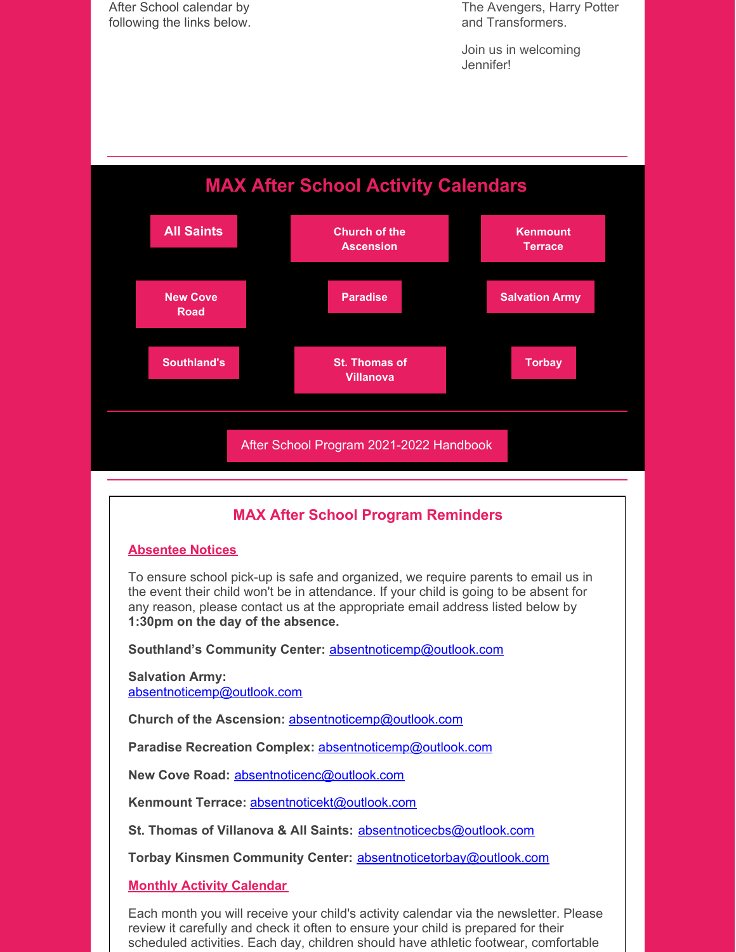After School calendar by following the links below.

The Avengers, Harry Potter and Transformers.

Join us in welcoming Jennifer!

# **MAX After School Activity Calendars**



# **MAX After School Program Reminders**

#### **Absentee Notices**

To ensure school pick-up is safe and organized, we require parents to email us in the event their child won't be in attendance. If your child is going to be absent for any reason, please contact us at the appropriate email address listed below by **1:30pm on the day of the absence.**

**Southland's Community Center:** [absentnoticemp@outlook.com](mailto:absentnoticemp@outlook.com)

**Salvation Army:** [absentnoticemp@outlook.com](mailto:absentnoticemp@outlook.com)

**Church of the Ascension:** [absentnoticemp@outlook.com](mailto:absentnoticemp@outlook.com)

**Paradise Recreation Complex:** [absentnoticemp@outlook.com](mailto:absentnoticemp@outlook.com)

**New Cove Road:** [absentnoticenc@outlook.com](mailto:absentnoticenc@outlook.com)

**Kenmount Terrace:** [absentnoticekt@outlook.com](mailto:absentnoticekt@outlook.com)

**St. Thomas of Villanova & All Saints:** [absentnoticecbs@outlook.com](mailto:absentnoticecbs@outlook.com)

**Torbay Kinsmen Community Center:** [absentnoticetorbay@outlook.com](mailto:absentnoticetorbay@outlook.com)

#### **Monthly Activity Calendar**

Each month you will receive your child's activity calendar via the newsletter. Please review it carefully and check it often to ensure your child is prepared for their scheduled activities. Each day, children should have athletic footwear, comfortable